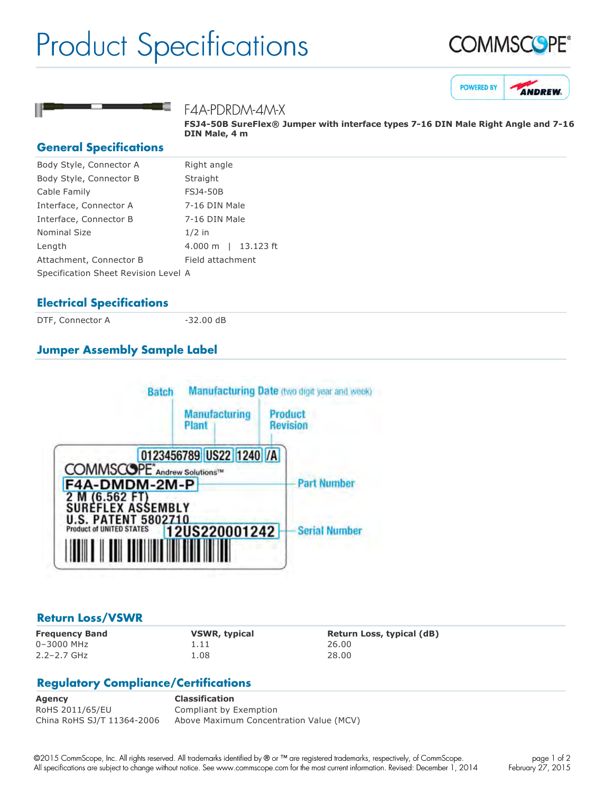# Product Specifications







### F4A-PDRDM-4M-X

**FSJ450B SureFlex® Jumper with interface types 716 DIN Male Right Angle and 716 DIN Male, 4 m**

#### **General Specifications**

| Body Style, Connector A              | Right angle                        |
|--------------------------------------|------------------------------------|
| Body Style, Connector B              | Straight                           |
| Cable Family                         | <b>FSJ4-50B</b>                    |
| Interface, Connector A               | 7-16 DIN Male                      |
| Interface, Connector B               | 7-16 DIN Male                      |
| Nominal Size                         | $1/2$ in                           |
| Length                               | 13.123 ft<br>$4.000 \; \mathrm{m}$ |
| Attachment, Connector B              | Field attachment                   |
| Specification Sheet Revision Level A |                                    |
|                                      |                                    |

### **Electrical Specifications**

DTF, Connector A 32.00 dB

# **Jumper Assembly Sample Label**



## **Return Loss/VSWR**

0–3000 MHz 1.11 26.00 2.2–2.7 GHz 1.08 28.00

**Frequency Band VSWR, typical Return Loss, typical (dB)**

# **Regulatory Compliance/Certifications**

**Agency Classification** RoHS 2011/65/EU Compliant by Exemption China RoHS SJ/T 11364-2006 Above Maximum Concentration Value (MCV)

©2015 CommScope, Inc. All rights reserved. All trademarks identified by ® or ™ are registered trademarks, respectively, of CommScope. All specifications are subject to change without notice. See www.commscope.com for the most current information. Revised: December 1, 2014